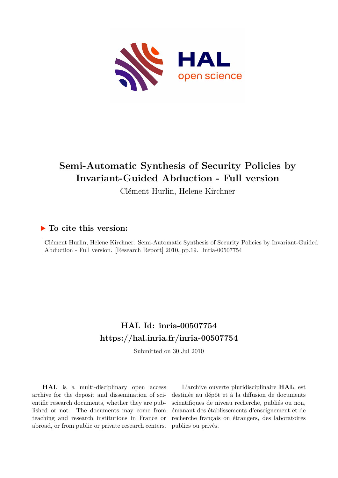

# **Semi-Automatic Synthesis of Security Policies by Invariant-Guided Abduction - Full version**

Clément Hurlin, Helene Kirchner

### **To cite this version:**

Clément Hurlin, Helene Kirchner. Semi-Automatic Synthesis of Security Policies by Invariant-Guided Abduction - Full version. [Research Report] 2010, pp.19. inria-00507754

## **HAL Id: inria-00507754 <https://hal.inria.fr/inria-00507754>**

Submitted on 30 Jul 2010

**HAL** is a multi-disciplinary open access archive for the deposit and dissemination of scientific research documents, whether they are published or not. The documents may come from teaching and research institutions in France or abroad, or from public or private research centers.

L'archive ouverte pluridisciplinaire **HAL**, est destinée au dépôt et à la diffusion de documents scientifiques de niveau recherche, publiés ou non, émanant des établissements d'enseignement et de recherche français ou étrangers, des laboratoires publics ou privés.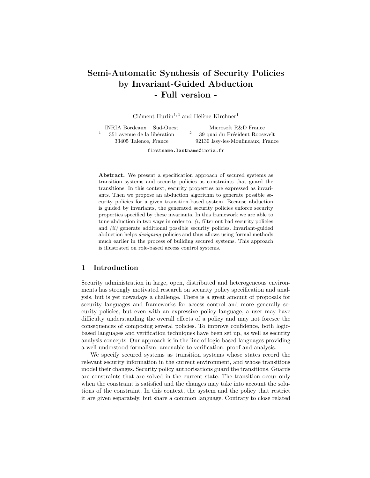## Semi-Automatic Synthesis of Security Policies by Invariant-Guided Abduction - Full version -

Clément Hurlin<sup>1,2</sup> and Hélène Kirchner<sup>1</sup>

1 INRIA Bordeaux – Sud-Ouest 351 avenue de la libération 33405 Talence, France

2 Microsoft R&D France 39 quai du Président Roosevelt 92130 Issy-les-Moulineaux, France

firstname.lastname@inria.fr

Abstract. We present a specification approach of secured systems as transition systems and security policies as constraints that guard the transitions. In this context, security properties are expressed as invariants. Then we propose an abduction algorithm to generate possible security policies for a given transition-based system. Because abduction is guided by invariants, the generated security policies enforce security properties specified by these invariants. In this framework we are able to tune abduction in two ways in order to: *(i)* filter out bad security policies and *(ii)* generate additional possible security policies. Invariant-guided abduction helps *designing* policies and thus allows using formal methods much earlier in the process of building secured systems. This approach is illustrated on role-based access control systems.

#### 1 Introduction

Security administration in large, open, distributed and heterogeneous environments has strongly motivated research on security policy specification and analysis, but is yet nowadays a challenge. There is a great amount of proposals for security languages and frameworks for access control and more generally security policies, but even with an expressive policy language, a user may have difficulty understanding the overall effects of a policy and may not foresee the consequences of composing several policies. To improve confidence, both logicbased languages and verification techniques have been set up, as well as security analysis concepts. Our approach is in the line of logic-based languages providing a well-understood formalism, amenable to verification, proof and analysis.

We specify secured systems as transition systems whose states record the relevant security information in the current environment, and whose transitions model their changes. Security policy authorisations guard the transitions. Guards are constraints that are solved in the current state. The transition occur only when the constraint is satisfied and the changes may take into account the solutions of the constraint. In this context, the system and the policy that restrict it are given separately, but share a common language. Contrary to close related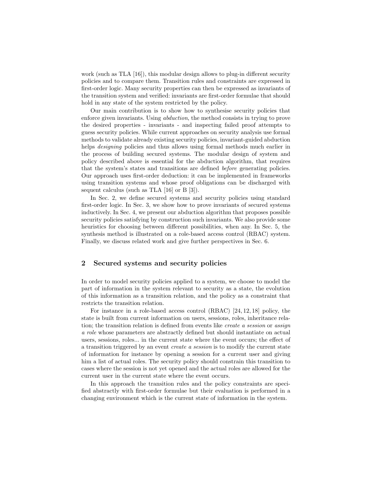work (such as TLA  $[16]$ ), this modular design allows to plug-in different security policies and to compare them. Transition rules and constraints are expressed in first-order logic. Many security properties can then be expressed as invariants of the transition system and verified: invariants are first-order formulae that should hold in any state of the system restricted by the policy.

Our main contribution is to show how to synthesise security policies that enforce given invariants. Using abduction, the method consists in trying to prove the desired properties - invariants - and inspecting failed proof attempts to guess security policies. While current approaches on security analysis use formal methods to validate already existing security policies, invariant-guided abduction helps designing policies and thus allows using formal methods much earlier in the process of building secured systems. The modular design of system and policy described above is essential for the abduction algorithm, that requires that the system's states and transitions are defined before generating policies. Our approach uses first-order deduction: it can be implemented in frameworks using transition systems and whose proof obligations can be discharged with sequent calculus (such as TLA [16] or B [3]).

In Sec. 2, we define secured systems and security policies using standard first-order logic. In Sec. 3, we show how to prove invariants of secured systems inductively. In Sec. 4, we present our abduction algorithm that proposes possible security policies satisfying by construction such invariants. We also provide some heuristics for choosing between different possibilities, when any. In Sec. 5, the synthesis method is illustrated on a role-based access control (RBAC) system. Finally, we discuss related work and give further perspectives in Sec. 6.

#### 2 Secured systems and security policies

In order to model security policies applied to a system, we choose to model the part of information in the system relevant to security as a state, the evolution of this information as a transition relation, and the policy as a constraint that restricts the transition relation.

For instance in a role-based access control (RBAC) [24, 12, 18] policy, the state is built from current information on users, sessions, roles, inheritance relation; the transition relation is defined from events like create a session or assign a role whose parameters are abstractly defined but should instantiate on actual users, sessions, roles... in the current state where the event occurs; the effect of a transition triggered by an event create a session is to modify the current state of information for instance by opening a session for a current user and giving him a list of actual roles. The security policy should constrain this transition to cases where the session is not yet opened and the actual roles are allowed for the current user in the current state where the event occurs.

In this approach the transition rules and the policy constraints are specified abstractly with first-order formulae but their evaluation is performed in a changing environment which is the current state of information in the system.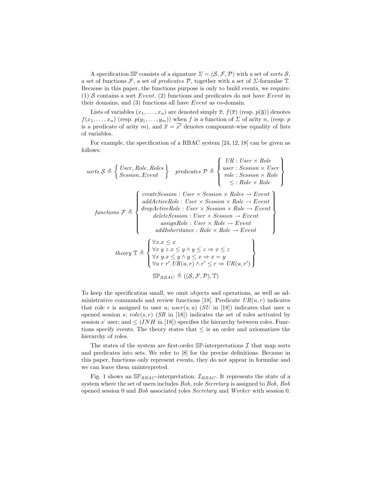A specification SP consists of a signature  $\Sigma = (\mathcal{S}, \mathcal{F}, \mathcal{P})$  with a set of sorts  $\mathcal{S},$ a set of functions  $\mathcal F$ , a set of predicates  $\mathcal P$ , together with a set of  $\Sigma$ -formulae  $\mathbb T$ . Because in this paper, the functions purpose is only to build events, we require: (1) S contains a sort Event, (2) functions and predicates do not have Event in their domains, and (3) functions all have Event as co-domain.

Lists of variables  $(x_1,...,x_n)$  are denoted simply  $\overline{x}$ ,  $f(\overline{x})$  (resp.  $p(\overline{y})$ ) denotes  $f(x_1,...,x_n)$  (resp.  $p(y_1,...,y_m)$ ) when f is a function of  $\Sigma$  of arity n, (resp. p is a predicate of arity m), and  $\overline{x} = \overline{x'}$  denotes component-wise equality of lists of variables.

For example, the specification of a RBAC system [24, 12, 18] can be given as follows:

> $\mathbf{r}$  $\overline{a}$

> $\int$

 $sorts \mathcal{S} \triangleq \left\{\begin{array}{l} User, Role, holes \\ Session, Event \end{array}\right\}$  predicates  $\mathcal{P} \triangleq$  $\sqrt{ }$  $\int$  $\overline{\mathcal{L}}$  $UR: User \times Role$  $user: Session \times User$  $role : Session \times Role$  $\leq$  : Role  $\times$  Role functions  $\mathcal{F} \triangleq$  $\sqrt{ }$  $\Bigg\}$  $\overline{\mathcal{L}}$  $createSession: User \times Session \times Roles \rightarrow Event$  $addActiveRole: User \times Session \times Role \rightarrow Event$  $dropActiveRole: User \times Session \times Role \rightarrow Event$  $deleteSession: User \times Session \rightarrow Event$  $assignRole: User \times Role \rightarrow Event$  $addInheritance: Role \times Role \rightarrow Event$  $\mathbf{A}$  $\overline{\mathcal{L}}$  $\Bigg\}$ theory  $\mathbb{T} \triangleq$  $\sqrt{ }$  $\Big\}$  $\overline{a}$  $\forall x.x \leq x$  $\forall x \ y \ z.x \leq y \land y \leq z \Rightarrow x \leq z$  $\forall x \ y.x \leq y \land y \leq x \Rightarrow x = y$  $\forall u \ r \ r'. \ UR(u,r) \wedge r' \leq r \Rightarrow \ UR(u,r')$  $\mathbf{A}$  $\overline{ }$  $\Big\}$  $\mathbb{SP}_{RBAC} \triangleq ((\mathcal{S}, \mathcal{F}, \mathcal{P}), \mathbb{T})$ 

To keep the specification small, we omit objects and operations, as well as administrative commands and review functions [18]. Predicate  $UR(u, r)$  indicates that role r is assigned to user u; user(s, u) (SU in [18]) indicates that user u opened session s;  $role(s, r)$  (SR in [18]) indicates the set of roles activated by session s' user; and  $\leq (INH \text{ in } [18])$  specifies the hierarchy between roles. Functions specify events. The theory states that  $\leq$  is an order and axiomatizes the hierarchy of roles.

The states of the system are first-order  $\mathbb{SP}\text{-interpretations } \mathcal{I}$  that map sorts and predicates into sets. We refer to [8] for the precise definitions. Because in this paper, functions only represent events, they do not appear in formulae and we can leave them uninterpreted.

Fig. 1 shows an  $\mathbb{SP}_{RBAC}$ -interpretation:  $\mathcal{I}_{RBAC}$ . It represents the state of a system where the set of users includes Bob, role Secretary is assigned to Bob, Bob opened session 0 and Bob associated roles Secretary and Worker with session 0.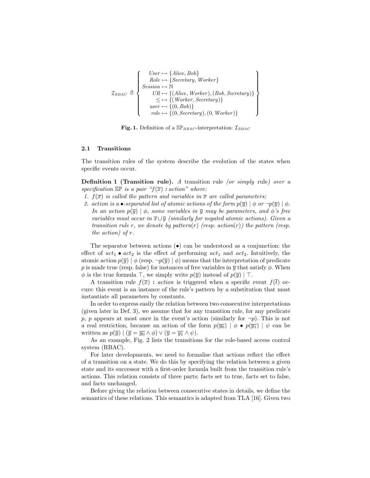$$
\mathcal{I}_{RBAC} \triangleq \left\{\n\begin{array}{l}\n\text{User} \mapsto \{\text{Alice}, \text{Bob}\} \\
\text{Role} \mapsto \{\text{Secretary}, \text{Worker}\} \\
\text{Session} \mapsto \mathbb{N} \\
\text{UR} \mapsto \{(\text{Alice}, \text{Worker}), (\text{Bob}, \text{Secretary})\} \\
\leq \mapsto \{(\text{Worker}, \text{Secretary})\} \\
\text{user} \mapsto \{(0, Bob)\} \\
\text{role} \mapsto \{(0, \text{Secretary}), (0, \text{Worker})\}\n\end{array}\n\right\}
$$

Fig. 1. Definition of a SP*RBAC* -interpretation: I*RBAC*

#### 2.1 Transitions

The transition rules of the system describe the evolution of the states when specific events occur.

**Definition 1 (Transition rule).** A transition rule (or simply rule) over a specification  $\mathbb{S} \mathbb{P}$  is a pair " $f(\overline{x})$  *:* action" where:

- 1.  $f(\overline{x})$  is called the pattern and variables in  $\overline{x}$  are called parameters;
- 2. action is a  $\bullet$ -separated list of atomic actions of the form  $p(\overline{y}) \mid \phi$  or  $\neg p(\overline{y}) \mid \phi$ . In an action  $p(\bar{y}) | \phi$ , some variables in  $\bar{y}$  may be parameters, and  $\phi$ 's free variables must occur in  $\overline{x} \cup \overline{y}$  (similarly for negated atomic actions). Given a transition rule r, we denote by pattern(r) (resp.  $action(r)$ ) the pattern (resp. the action) of r.

The separator between actions (•) can be understood as a conjunction: the effect of  $act_1 \bullet act_2$  is the effect of performing  $act_1$  and  $act_2$ . Intuitively, the atomic action  $p(\bar{y}) | \phi$  (resp.  $\neg p(\bar{y}) | \phi$ ) means that the interpretation of predicate p is made true (resp. false) for instances of free variables in  $\overline{y}$  that satisfy  $\phi$ . When  $\phi$  is the true formula  $\top$ , we simply write  $p(\overline{y})$  instead of  $p(\overline{y})$  |  $\top$ .

A transition rule  $f(\overline{x})$ : *action* is triggered when a specific event  $f(\overline{t})$  occurs: this event is an instance of the rule's pattern by a substitution that must instantiate all parameters by constants.

In order to express easily the relation between two consecutive interpretations (given later in Def. 3), we assume that for any transition rule, for any predicate p, p appears at most once in the event's action (similarly for  $\neg p$ ). This is not a real restriction, because an action of the form  $p(\overline{y_0}) | \phi \bullet p(\overline{y_1}) | \psi$  can be written as  $p(\overline{y}) | (\overline{y} = \overline{y_0} \wedge \phi) \vee (\overline{y} = \overline{y_1} \wedge \psi).$ 

As an example, Fig. 2 lists the transitions for the role-based access control system (RBAC).

For later developments, we need to formalise that actions reflect the effect of a transition on a state. We do this by specifying the relation between a given state and its successor with a first-order formula built from the transition rule's actions. This relation consists of three parts: facts set to true, facts set to false, and facts unchanged.

Before giving the relation between consecutive states in details, we define the semantics of these relations. This semantics is adapted from TLA [16]. Given two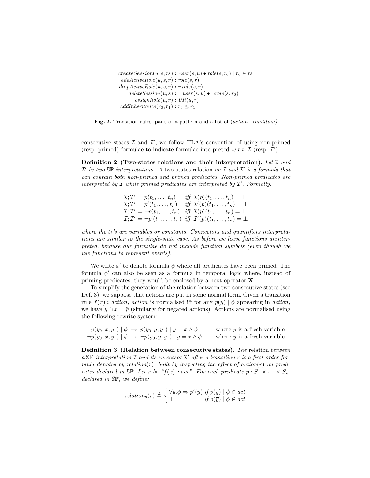```
createSession(u, s, rs): user(s, u) \bullet role(s, r_0) | r_0 \in rsaddActiveRole(u, s, r) : role(s, r)dropActiveRole(u, s, r) : \neg role(s, r)deleteSession(u, s) : \neg user(s, u) \bullet \neg role(s, r_0)assignRole(u, r) : UR(u, r)addInheritance(r_0, r_1) : r_0 \leq r_1
```


consecutive states  $\mathcal I$  and  $\mathcal I'$ , we follow TLA's convention of using non-primed (resp. primed) formulae to indicate formulae interpreted  $w.r.t. \mathcal{I}$  (resp.  $\mathcal{I}'$ ).

Definition 2 (Two-states relations and their interpretation). Let  $\mathcal I$  and  $\mathcal I'$  be two SP-interpretations. A two-states relation on  $\mathcal I$  and  $\mathcal I'$  is a formula that can contain both non-primed and primed predicates. Non-primed predicates are interpreted by  $\mathcal I$  while primed predicates are interpreted by  $\mathcal I'$ . Formally:

> $\mathcal{I};\mathcal{I}'\models p(t_1,\ldots,t_n)$  iff  $\mathcal{I}(p)(t_1,\ldots,t_n)=\top$  $\mathcal{I};\mathcal{I}'\models p'(t_1,\ldots,t_n)$  iff  $\mathcal{I}'(p)(t_1,\ldots,t_n)=\top$  $\mathcal{I};\mathcal{I}'\models \neg p(t_1,\ldots,t_n)$  iff  $\mathcal{I}(p)(t_1,\ldots,t_n)=\bot$  $\mathcal{I};\mathcal{I}'\models \neg p'(t_1,\ldots,t_n)$  iff  $\mathcal{I}'(p)(t_1,\ldots,t_n)=\bot$

where the  $t_i$ 's are variables or constants. Connectors and quantifiers interpretations are similar to the single-state case. As before we leave functions uninterpreted, because our formulae do not include function symbols (even though we use functions to represent events).

We write  $\phi'$  to denote formula  $\phi$  where all predicates have been primed. The formula  $\phi'$  can also be seen as a formula in temporal logic where, instead of priming predicates, they would be enclosed by a next operator X.

To simplify the generation of the relation between two consecutive states (see Def. 3), we suppose that actions are put in some normal form. Given a transition rule  $f(\overline{x})$ : action, action is normalised iff for any  $p(\overline{y}) | \phi$  appearing in action, we have  $\overline{y} \cap \overline{x} = \emptyset$  (similarly for negated actions). Actions are normalised using the following rewrite system:

| $p(\overline{y_0}, x, \overline{y_1}) \mid \phi \rightarrow p(\overline{y_0}, y, \overline{y_1}) \mid y = x \land \phi$           | where $y$ is a fresh variable |
|-----------------------------------------------------------------------------------------------------------------------------------|-------------------------------|
| $\neg p(\overline{y_0}, x, \overline{y_1}) \mid \phi \rightarrow \neg p(\overline{y_0}, y, \overline{y_1}) \mid y = x \land \phi$ | where $y$ is a fresh variable |

Definition 3 (Relation between consecutive states). The relation between a  $\mathbb{S} \mathbb{P}$ -interpretation  $\mathcal I$  and its successor  $\mathcal I'$  after a transition r is a first-order formula denoted by relation(r). built by inspecting the effect of action(r) on predicates declared in SP. Let r be " $f(\overline{x})$ : act". For each predicate  $p: S_1 \times \cdots \times S_m$ declared in  $\mathbb{SP}$ , we define:

$$
relation_p(r) \triangleq \begin{cases} \forall \overline{y}.\phi \Rightarrow p'(\overline{y}) \text{ if } p(\overline{y}) \mid \phi \in act \\ \top & \text{if } p(\overline{y}) \mid \phi \notin act \end{cases}
$$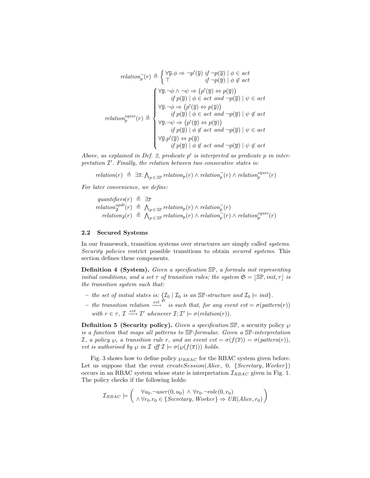$$
relation_p^{\neg}(r) \triangleq \begin{cases} \forall \overline{y}.\phi \Rightarrow \neg p'(\overline{y}) \text{ if } \neg p(\overline{y}) \mid \phi \in act \\ \top & \text{ if } \neg p(\overline{y}) \mid \phi \notin act \end{cases}
$$

$$
relation_p^{equiv}(r) \triangleq \begin{cases} \forall \overline{y}.\neg \phi \land \neg \psi \Rightarrow (p'(\overline{y}) \Leftrightarrow p(\overline{y})) \\ \forall \overline{y}.\neg \phi \Rightarrow (p'(\overline{y}) \Leftrightarrow p(\overline{y})) \\ \forall \overline{y}.\neg \phi \Rightarrow (p'(\overline{y}) \Leftrightarrow p(\overline{y})) \\ \forall \overline{y}.\neg \phi \Rightarrow (p'(\overline{y}) \Leftrightarrow p(\overline{y})) \\ \forall p(\overline{y}) \mid \phi \in act \text{ and } \neg p(\overline{y}) \mid \psi \notin act \end{cases}
$$

$$
relation_p^{equiv}(r) \triangleq \begin{cases} \forall \overline{y}.\neg \psi \Rightarrow (p'(\overline{y}) \Leftrightarrow p(\overline{y})) \\ \forall \overline{y}.\neg \psi \Rightarrow (p'(\overline{y}) \Leftrightarrow p(\overline{y})) \\ \forall \overline{y}.p'(\overline{y}) \Leftrightarrow p(\overline{y}) \\ \forall \overline{y}.p'(\overline{y}) \mid \phi \notin act \text{ and } \neg p(\overline{y}) \mid \psi \notin act \end{cases}
$$

Above, as explained in Def. 2, predicate  $p'$  is interpreted as predicate p in inter $pretation I'. Finally, the relation between two consecutive states is:\n\n $\begin{bmatrix}\n\frac{1}{2} & \frac{1}{2} \\
\frac{1}{2} & \frac{1}{2} \\
\frac{1}{2} & \frac{1}{2}\n\end{bmatrix}$$ 

 $relation(r) \triangleq \exists \overline{x}.\bigwedge_{p \in \mathbb{SP}}relation_p(r) \wedge relation_p^-(r) \wedge relation_p^{equiv}(r)$ 

For later convenience, we define:

$$
\begin{array}{rcl}\n\text{quantifiers}(r) & \triangleq & \exists \overline{x} \\
\text{relation}_{\overline{x}}^{updt}(r) & \triangleq & \bigwedge_{p \in \mathbb{SP}} \text{relation}_p(r) \land \text{relation}_p^-(r) \\
\text{relation}_{\overline{x}}(r) & \triangleq & \bigwedge_{p \in \mathbb{SP}} \text{relation}_p(r) \land \text{relation}_p^-(r) \land \text{relation}_p^{equiv}(r)\n\end{array}
$$

#### 2.2 Secured Systems

In our framework, transition systems over structures are simply called *systems*. Security policies restrict possible transitions to obtain secured systems. This section defines these components.

**Definition 4 (System).** Given a specification  $\mathbb{SP}$ , a formula init representing initial conditions, and a set  $\tau$  of transition rules; the system  $\mathfrak{S} = |\mathbb{SP}, init, \tau|$  is the transition system such that:

- the set of initial states is:  $\{I_0 | I_0 \text{ is an } \mathbb{SP}\text{-}structure and } I_0 \models \text{init}\}.$
- $-$  the transition relation  $\stackrel{evt}{\longrightarrow}$  is such that, for any event evt = σ(pattern(r)) with  $r \in \tau$ ,  $\mathcal{I} \xrightarrow{evt} \mathcal{I}'$  whenever  $\mathcal{I}; \mathcal{I}' \models \sigma(\text{relation}(r)).$

**Definition 5 (Security policy).** Given a specification  $\mathbb{SP}$ , a security policy  $\wp$ is a function that maps all patterns to SP-formulae. Given a SP-interpretation I, a policy  $\wp$ , a transition rule r, and an event  $\mathrm{evt} = \sigma(f(\overline{x})) = \sigma(\mathrm{pattern}(r)),$ evt is authorised by  $\wp$  in  $\mathcal I$  iff  $\mathcal I \models \sigma(\wp(f(\overline{x})))$  holds.

Fig. 3 shows how to define policy  $\wp_{RBAC}$  for the RBAC system given before. Let us suppose that the event  $createSession(Alice, 0, \{Secretary, Worker\})$ occurs in an RBAC system whose state is interpretation  $\mathcal{I}_{RBAC}$  given in Fig. 1. The policy checks if the following holds:

$$
\mathcal{I}_{RBAC} \models \left( \begin{array}{c} \forall u_0.\neg user(0, u_0) \land \forall r_0.\neg role(0, r_0) \\ \land \forall r_0.r_0 \in \{Secretary, \textit{Worker}\} \Rightarrow \textit{UR(Alice}, r_0) \end{array} \right)
$$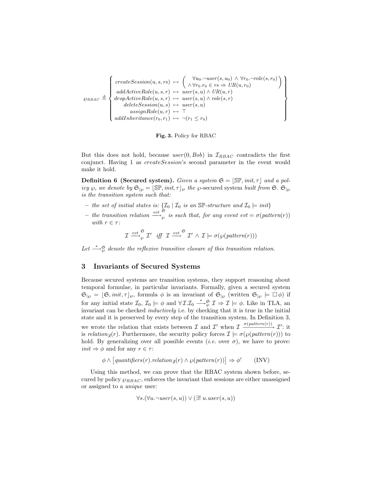$$
\varrho_{RBAC} \triangleq \left\{\n\begin{array}{l}\n\text{createSession}(u, s, rs) \rightarrow \left(\n\begin{array}{l}\n\forall u_0 \neg user(s, u_0) \land \forall r_0 \neg role(s, r_0) \\
\land \forall r_0 \neg role(s, r_0)\n\end{array}\n\right) \\
\text{qaddActiveRole}(u, s, r) \rightarrow \text{user}(s, u) \land \text{UR}(u, r) \\
\text{dropActiveRole}(u, s, r) \rightarrow \text{user}(s, u) \land \text{role}(s, r) \\
\text{deleteSession}(u, s) \rightarrow \text{user}(s, u) \\
\text{assignRole}(u, r) \rightarrow \top \\
\text{addInheritance}(r_0, r_1) \rightarrow \neg(r_1 \leq r_0)\n\end{array}\n\right\}
$$

Fig. 3. Policy for RBAC

But this does not hold, because  $user(0, Bob)$  in  $\mathcal{I}_{RBAC}$  contradicts the first conjunct. Having 1 as *createSession*'s second parameter in the event would make it hold.

**Definition 6 (Secured system).** Given a system  $\mathfrak{S} = |\mathbb{SP}, init, \tau|$  and a policy  $\wp$ , we denote by  $\mathfrak{S}_{|\wp} = [\mathbb{S}\mathbb{P}, \text{init}, \tau]_{\wp}$  the  $\wp$ -secured system built from  $\mathfrak{S}$ .  $\mathfrak{S}_{|\wp}$ is the transition system such that:

- the set of initial states is:  $\mathcal{I}_0 | \mathcal{I}_0$  is an SP-structure and  $\mathcal{I}_0 \models init$
- $-$  the transition relation  $\stackrel{evt}{\longrightarrow}$ <sup>*⊗*</sup> is such that, for any event evt = σ(pattern(r)) with  $r \in \tau$ :

 $\mathcal{I} \xrightarrow{evt} \overset{\mathfrak{S}}{\longrightarrow} \mathcal{I}' \quad iff \quad \mathcal{I} \xrightarrow{evt} \overset{\mathfrak{S}}{\longrightarrow} \mathcal{I}' \ \wedge \ \mathcal{I} \models \sigma(\wp(\mathit{pattern}(r)))$ 

Let  $\stackrel{*}{\longrightarrow} \frac{\mathfrak{S}}{\wp}$  denote the reflexive transitive closure of this transition relation.

#### 3 Invariants of Secured Systems

Because secured systems are transition systems, they support reasoning about temporal formulae, in particular invariants. Formally, given a secured system  $\mathfrak{S}_{|\wp} = [\mathfrak{S}, \text{init}, \tau]_{\wp}$ , formula  $\phi$  is an invariant of  $\mathfrak{S}_{|\wp}$  (written  $\mathfrak{S}_{|\wp} \models \Box \phi$ ) if for any initial state  $\mathcal{I}_0$ ,  $\mathcal{I}_0 \models \phi$  and  $\forall \mathcal{I}.\mathcal{I}_0 \stackrel{*}{\longrightarrow} \mathcal{I} \Rightarrow \mathcal{I} \models \phi$ . Like in TLA, an invariant can be checked inductively i.e. by checking that it is true in the initial state and it is preserved by every step of the transition system. In Definition 3, we wrote the relation that exists between  $\mathcal I$  and  $\mathcal I'$  when  $\mathcal I \xrightarrow{\sigma (pattern(r))} \mathcal I'$ : it is relation<sub>7</sub>(r). Furthermore, the security policy forces  $\mathcal{I} \models \sigma(\wp(\text{pattern}(r)))$  to hold. By generalizing over all possible events (*i.e.* over  $\sigma$ ), we have to prove:  $init \Rightarrow \phi$  and for any  $r \in \tau$ :

$$
\phi \land \big[ \mathit{quantifiers}(r). \mathit{relation}_{\vec{\boldsymbol{\beta}}}(r) \land \wp(\mathit{pattern}(r)) \big] \Rightarrow \phi' \qquad \text{(INV)}
$$

Using this method, we can prove that the RBAC system shown before, secured by policy  $\wp_{RBAC}$ , enforces the invariant that sessions are either unassigned or assigned to a unique user:

$$
\forall s. (\forall u. \neg user(s, u)) \lor (\exists! \ u. user(s, u))
$$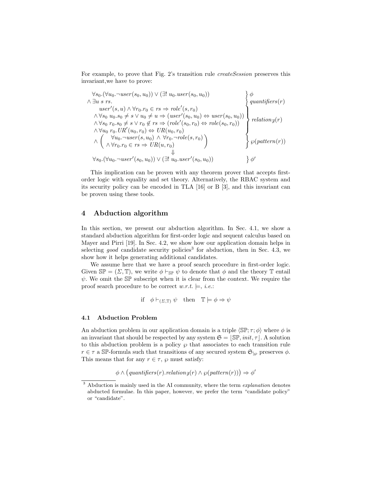For example, to prove that Fig. 2's transition rule *createSession* preserves this invariant,we have to prove:

$$
\forall s_0. (\forall u_0. \neg user(s_0, u_0)) \lor (\exists! u_0. user(s_0, u_0))
$$
\n
$$
\land \exists u \ s \ rs.
$$
\n
$$
user'(s, u) \land \forall r_0. r_0 \in rs \Rightarrow role'(s, r_0)
$$
\n
$$
\land \forall s_0 u_0. s_0 \neq s \lor u_0 \neq u \Rightarrow (user'(s_0, u_0) \Leftrightarrow user(s_0, u_0))
$$
\n
$$
\land \forall s_0 r_0. s_0 \neq s \lor r_0 \notin rs \Rightarrow (role'(s_0, r_0) \Leftrightarrow role(s_0, r_0))
$$
\n
$$
\land \forall u_0 r_0. UR'(u_0, r_0) \Leftrightarrow UR(u_0, r_0)
$$
\n
$$
\land \left(\forall u_0. \neg user(s, u_0) \land \forall r_0. \neg role(s, r_0)\right)
$$
\n
$$
\land \left(\forall v_0. \neg user(s, u_0) \land \forall r_0. \neg role(s, r_0)\right)
$$
\n
$$
\lor s_0. (\forall u_0. \neg user'(s_0, u_0)) \lor (\exists! u_0. user'(s_0, u_0))
$$
\n
$$
\downarrow \phi'
$$

This implication can be proven with any theorem prover that accepts firstorder logic with equality and set theory. Alternatively, the RBAC system and its security policy can be encoded in TLA [16] or B [3], and this invariant can be proven using these tools.

#### 4 Abduction algorithm

In this section, we present our abduction algorithm. In Sec. 4.1, we show a standard abduction algorithm for first-order logic and sequent calculus based on Mayer and Pirri [19]. In Sec. 4.2, we show how our application domain helps in selecting good candidate security policies<sup>3</sup> for abduction, then in Sec. 4.3, we show how it helps generating additional candidates.

We assume here that we have a proof search procedure in first-order logic. Given  $\mathbb{SP} = (\Sigma, \mathbb{T})$ , we write  $\phi \vdash_{\mathbb{SP}} \psi$  to denote that  $\phi$  and the theory  $\mathbb{T}$  entail  $\psi$ . We omit the SP subscript when it is clear from the context. We require the proof search procedure to be correct  $w.r.t. \models, i.e.:$ 

if 
$$
\phi \vdash_{(\Sigma,\mathbb{T})} \psi
$$
 then  $\mathbb{T} \models \phi \Rightarrow \psi$ 

#### 4.1 Abduction Problem

An abduction problem in our application domain is a triple  $\langle \mathbb{SP}; \tau; \phi \rangle$  where  $\phi$  is an invariant that should be respected by any system  $\mathfrak{S} = |\mathbb{SP}, init, \tau|$ . A solution to this abduction problem is a policy  $\wp$  that associates to each transition rule  $r \in \tau$  a SP-formula such that transitions of any secured system  $\mathfrak{S}_{\vert \varphi}$  preserves  $\phi$ . This means that for any  $r \in \tau$ ,  $\wp$  must satisfy:

$$
\phi \land \big(quantifiers(r).relation_{\vec{\boldsymbol{\beta}}}(r) \land \wp(\mathit{pattern}(r)) \big) \Rightarrow \phi'
$$

<sup>3</sup> Abduction is mainly used in the AI community, where the term *explanation* denotes abducted formulae. In this paper, however, we prefer the term "candidate policy" or "candidate".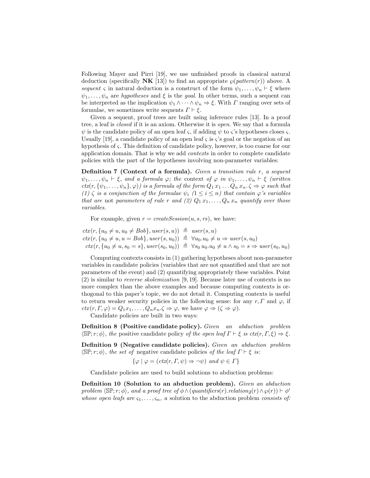Following Mayer and Pirri [19], we use unfinished proofs in classical natural deduction (specifically NK [13]) to find an appropriate  $\wp(pattern(r))$  above. A sequent  $\varsigma$  in natural deduction is a construct of the form  $\psi_1,\ldots,\psi_n \vdash \xi$  where  $\psi_1,\ldots,\psi_n$  are *hypotheses* and  $\xi$  is the *goal*. In other terms, such a sequent can be interpreted as the implication  $\psi_1 \wedge \cdots \wedge \psi_n \Rightarrow \xi$ . With  $\Gamma$  ranging over sets of formulae, we sometimes write sequents  $\Gamma \vdash \xi$ .

Given a sequent, proof trees are built using inference rules [13]. In a proof tree, a leaf is closed if it is an axiom. Otherwise it is open. We say that a formula  $\psi$  is the candidate policy of an open leaf  $\zeta$ , if adding  $\psi$  to  $\zeta$ 's hypotheses closes  $\zeta$ . Usually [19], a candidate policy of an open leaf  $\varsigma$  is  $\varsigma$ 's goal or the negation of an hypothesis of ς. This definition of candidate policy, however, is too coarse for our application domain. That is why we add contexts in order to complete candidate policies with the part of the hypotheses involving non-parameter variables:

**Definition 7 (Context of a formula).** Given a transition rule  $r$ , a sequent  $\psi_1,\ldots,\psi_n \vdash \xi$ , and a formula  $\varphi$ ; the context of  $\varphi$  in  $\psi_1,\ldots,\psi_n \vdash \xi$  (written  $ctx(r, \{\psi_1, \ldots, \psi_n\}, \varphi))$  is a formula of the form  $Q_1 x_1 \ldots Q_n x_n \ldotp \zeta \Rightarrow \varphi$  such that (1)  $\zeta$  is a conjunction of the formulae  $\psi_i$  ( $1 \leq i \leq n$ ) that contain  $\varphi$ 's variables that are not parameters of rule r and (2)  $Q_1 x_1, \ldots, Q_n x_n$  quantify over those variables.

For example, given  $r = createSession(u, s, rs)$ , we have:

 $ctx(r, \{u_0 \neq u, u_0 \neq Bob\}, user(s, u)) \triangleq user(s, u)$  $ctx(r, \{u_0 \neq u, u = Bob\}, user(s, u_0)) \triangleq \forall u_0. u_0 \neq u \Rightarrow user(s, u_0)$  $ctx(r, \{u_0 \neq u, s_0 = s\}, user(s_0, u_0)) \triangleq \forall s_0 u_0. u_0 \neq u \land s_0 = s \Rightarrow user(s_0, u_0)$ 

Computing contexts consists in (1) gathering hypotheses about non-parameter variables in candidate policies (variables that are not quantified and that are not parameters of the event) and (2) quantifying appropriately these variables. Point (2) is similar to reverse skolemization [9, 19]. Because later use of contexts is no more complex than the above examples and because computing contexts is orthogonal to this paper's topic, we do not detail it. Computing contexts is useful to return weaker security policies in the following sense: for any r, Γ and  $\varphi$ , if  $ctx(r, \Gamma, \varphi) = Q_1 x_1, \ldots, Q_n x_n \zeta \Rightarrow \varphi$ , we have  $\varphi \Rightarrow (\zeta \Rightarrow \varphi)$ .

Candidate policies are built in two ways:

Definition 8 (Positive candidate policy). Given an abduction problem  $\langle \mathbb{S}\mathbb{P}; r; \phi \rangle$ , the positive candidate policy of the open leaf  $\Gamma \vdash \xi$  is  $ctx(r, \Gamma, \xi) \Rightarrow \xi$ .

Definition 9 (Negative candidate policies). Given an abduction problem  $\langle \mathbb{S}\mathbb{P}; r; \phi \rangle$ , the set of negative candidate policies of the leaf  $\Gamma \vdash \xi$  is:

$$
\{\varphi \mid \varphi = (\operatorname{ctx}(r, \Gamma, \psi) \Rightarrow \neg \psi) \text{ and } \psi \in \Gamma\}
$$

Candidate policies are used to build solutions to abduction problems:

Definition 10 (Solution to an abduction problem). Given an abduction problem  $\langle \mathbb{SP}; r; \phi \rangle$ , and a proof tree of  $\phi \wedge (quantifiers(r).relation_{\mathcal{F}}(r) \wedge \wp(r)) \vdash \phi'$ whose open leafs are  $\varsigma_1,\ldots,\varsigma_n$ , a solution to the abduction problem consists of: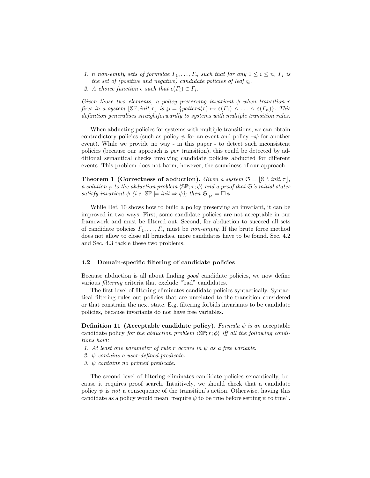- 1. n non-empty sets of formulae  $\Gamma_1,\ldots,\Gamma_n$  such that for any  $1 \leq i \leq n$ ,  $\Gamma_i$  is the set of (positive and negative) candidate policies of leaf  $\varsigma_i$ .
- 2. A choice function  $\epsilon$  such that  $\epsilon(\Gamma_i) \in \Gamma_i$ .

Given those two elements, a policy preserving invariant  $\phi$  when transition r fires in a system  $[\mathbb{SP}, init, r]$  is  $\wp = \{pattern(r) \mapsto \varepsilon(\Gamma_1) \wedge ... \wedge \varepsilon(\Gamma_n)\}.$  This definition generalises straightforwardly to systems with multiple transition rules.

When abducting policies for systems with multiple transitions, we can obtain contradictory policies (such as policy  $\psi$  for an event and policy  $\neg \psi$  for another event). While we provide no way - in this paper - to detect such inconsistent policies (because our approach is per transition), this could be detected by additional semantical checks involving candidate policies abducted for different events. This problem does not harm, however, the soundness of our approach.

**Theorem 1 (Correctness of abduction).** Given a system  $\mathfrak{S} = \mathbb{S} \mathbb{P}$ ,  $init, \tau$ , a solution  $\wp$  to the abduction problem  $\langle \mathbb{SP}; \tau; \phi \rangle$  and a proof that  $\mathfrak{S}'$ 's initial states satisfy invariant  $\phi$  (i.e.  $\mathbb{S} \mathbb{P} \models init \Rightarrow \phi$ ); then  $\mathfrak{S}_{|\wp} \models \Box \phi$ .

While Def. 10 shows how to build a policy preserving an invariant, it can be improved in two ways. First, some candidate policies are not acceptable in our framework and must be filtered out. Second, for abduction to succeed all sets of candidate policies  $\Gamma_1, \ldots, \Gamma_n$  must be *non-empty*. If the brute force method does not allow to close all branches, more candidates have to be found. Sec. 4.2 and Sec. 4.3 tackle these two problems.

#### 4.2 Domain-specific filtering of candidate policies

Because abduction is all about finding good candidate policies, we now define various filtering criteria that exclude "bad" candidates.

The first level of filtering eliminates candidate policies syntactically. Syntactical filtering rules out policies that are unrelated to the transition considered or that constrain the next state. E.g, filtering forbids invariants to be candidate policies, because invariants do not have free variables.

**Definition 11** (Acceptable candidate policy). Formula  $\psi$  is an acceptable candidate policy for the abduction problem  $\langle \mathbb{S}\mathbb{P}; r; \phi \rangle$  iff all the following conditions hold:

- 1. At least one parameter of rule r occurs in  $\psi$  as a free variable.
- 2.  $\psi$  contains a user-defined predicate.
- 3.  $\psi$  contains no primed predicate.

The second level of filtering eliminates candidate policies semantically, because it requires proof search. Intuitively, we should check that a candidate policy  $\psi$  is not a consequence of the transition's action. Otherwise, having this candidate as a policy would mean "require  $\psi$  to be true before setting  $\psi$  to true".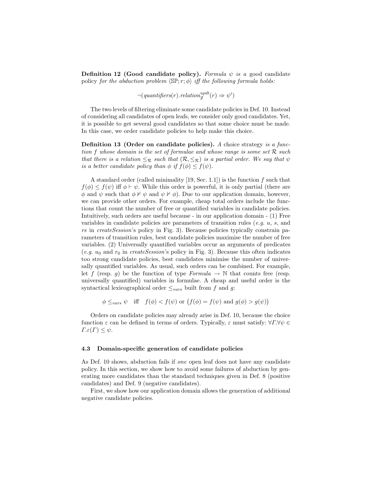**Definition 12 (Good candidate policy).** Formula  $\psi$  is a good candidate policy for the abduction problem  $\langle \mathbb{SP}; r; \phi \rangle$  iff the following formula holds:

 $\neg (quantifiers(r).relation^{updt}_{\vec{\beta}}(r) \Rightarrow \psi')$ 

The two levels of filtering eliminate some candidate policies in Def. 10. Instead of considering all candidates of open leafs, we consider only good candidates. Yet, it is possible to get several good candidates so that some choice must be made. In this case, we order candidate policies to help make this choice.

**Definition 13 (Order on candidate policies).** A choice strategy is a function f whose domain is the set of formulae and whose range is some set  $R$  such that there is a relation  $\leq_{\mathcal{R}}$  such that  $(\mathcal{R}, \leq_{\mathcal{R}})$  is a partial order. We say that  $\psi$ is a better candidate policy than  $\phi$  if  $f(\phi) \leq f(\psi)$ .

A standard order (called minimality  $[19, Sec. 1.1]$ ) is the function f such that  $f(\phi) \leq f(\psi)$  iff  $\phi \vdash \psi$ . While this order is powerful, it is only partial (there are  $\phi$  and  $\psi$  such that  $\phi \nvdash \psi$  and  $\psi \nvdash \phi$ ). Due to our application domain, however, we can provide other orders. For example, cheap total orders include the functions that count the number of free or quantified variables in candidate policies. Intuitively, such orders are useful because - in our application domain - (1) Free variables in candidate policies are parameters of transition rules (e.g.  $u$ , s, and rs in createSession's policy in Fig. 3). Because policies typically constrain parameters of transition rules, best candidate policies maximise the number of free variables. (2) Universally quantified variables occur as arguments of predicates (e.g.  $u_0$  and  $r_0$  in createSession's policy in Fig. 3). Because this often indicates too strong candidate policies, best candidates minimise the number of universally quantified variables. As usual, such orders can be combined. For example, let f (resp. g) be the function of type  $Formula \rightarrow \mathbb{N}$  that counts free (resp. universally quantified) variables in formulae. A cheap and useful order is the syntactical lexicographical order  $\leq_{vars}$  built from f and g:

 $\phi \leq_{vars} \psi$  iff  $f(\phi) < f(\psi)$  or  $(f(\phi) = f(\psi)$  and  $g(\phi) > g(\psi)$ 

Orders on candidate policies may already arise in Def. 10, because the choice function  $\varepsilon$  can be defined in terms of orders. Typically,  $\varepsilon$  must satisfy:  $\forall \Gamma \forall \psi \in$  $\Gamma \in (\Gamma) \leq \psi$ .

#### 4.3 Domain-specific generation of candidate policies

As Def. 10 shows, abduction fails if one open leaf does not have any candidate policy. In this section, we show how to avoid some failures of abduction by generating more candidates than the standard techniques given in Def. 8 (positive candidates) and Def. 9 (negative candidates).

First, we show how our application domain allows the generation of additional negative candidate policies.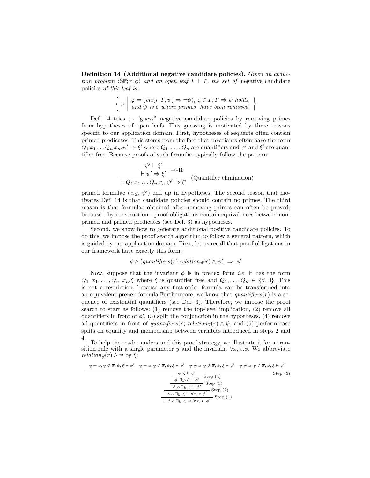Definition 14 (Additional negative candidate policies). Given an abduction problem  $\langle \mathbb{SP}; r; \phi \rangle$  and an open leaf  $\Gamma \vdash \xi$ , the set of negative candidate policies of this leaf is:

$$
\left\{\,\varphi\ \bigg|\ \begin{array}{l}\varphi=(\mathit{ctx}(r,\varGamma,\psi)\Rightarrow\neg\psi),\ \zeta\in\varGamma,\varGamma\Rightarrow\psi\ \mathit{holds},\ \mathit{and}\ \psi\ \mathit{is}\ \zeta\ \mathit{where}\ \mathit{primes}\ \mathit{have}\ \mathit{been}\ \mathit{removed}\end{array}\right\}
$$

Def. 14 tries to "guess" negative candidate policies by removing primes from hypotheses of open leafs. This guessing is motivated by three reasons specific to our application domain. First, hypotheses of sequents often contain primed predicates. This stems from the fact that invariants often have the form  $Q_1 x_1 \ldots Q_n x_n \psi' \Rightarrow \xi'$  where  $Q_1, \ldots, Q_n$  are quantifiers and  $\psi'$  and  $\xi'$  are quantifier free. Because proofs of such formulae typically follow the pattern:

$$
\frac{\psi' \vdash \xi'}{\vdash \psi' \Rightarrow \xi'} \Rightarrow R
$$
\n
$$
\frac{\psi' \vdash \xi'}{\vdash Q_1 x_1 \dots Q_n x_n.\psi' \Rightarrow \xi'} \text{ (Quantifier elimination)}
$$

primed formulae  $(e.g. \psi')$  end up in hypotheses. The second reason that motivates Def. 14 is that candidate policies should contain no primes. The third reason is that formulae obtained after removing primes can often be proved, because - by construction - proof obligations contain equivalences between nonprimed and primed predicates (see Def. 3) as hypotheses.

Second, we show how to generate additional positive candidate policies. To do this, we impose the proof search algorithm to follow a general pattern, which is guided by our application domain. First, let us recall that proof obligations in our framework have exactly this form:

$$
\phi \land (quantifiers(r).relation_{\mathcal{F}}(r) \land \psi) \Rightarrow \phi'
$$

Now, suppose that the invariant  $\phi$  is in prenex form *i.e.* it has the form  $Q_1$   $x_1, \ldots, Q_n$   $x_n \xi$  where  $\xi$  is quantifier free and  $Q_1, \ldots, Q_n \in {\forall, \exists}$ . This is not a restriction, because any first-order formula can be transformed into an equivalent prenex formula. Furthermore, we know that quantifiers $(r)$  is a sequence of existential quantifiers (see Def. 3). Therefore, we impose the proof search to start as follows: (1) remove the top-level implication, (2) remove all quantifiers in front of  $\phi'$ , (3) split the conjunction in the hypotheses, (4) remove all quantifiers in front of *quantifiers(r).relation*  $\chi(r) \wedge \psi$ , and (5) perform case splits on equality and membership between variables introduced in steps 2 and 4.

To help the reader understand this proof strategy, we illustrate it for a transition rule with a single parameter y and the invariant  $\forall x, \overline{x}.\phi$ . We abbreviate relation $\exists (r) \wedge \psi$  by  $\xi$ :

$$
y = x, y \notin \overline{x}, \phi, \xi \vdash \phi' \quad y = x, y \in \overline{x}, \phi, \xi \vdash \phi' \quad y \neq x, y \notin \overline{x}, \phi, \xi \vdash \phi' \quad y \neq x, y \in \overline{x}, \phi, \xi \vdash \phi'
$$
  
\n
$$
\xrightarrow{\phi, \xi \vdash \phi' \text{Step (4)}} \text{Step (5)}
$$
\n
$$
\xrightarrow{\phi, \exists y. \xi \vdash \phi' \text{Step (3)}} \text{Step (3)}
$$
\n
$$
\xrightarrow{\phi \land \exists y. \xi \vdash \forall x, \overline{x}. \phi'} \text{Step (2)}
$$
\n
$$
\xrightarrow{\phi \land \exists y. \xi \vdash \forall x, \overline{x}. \phi'} \text{Step (1)}
$$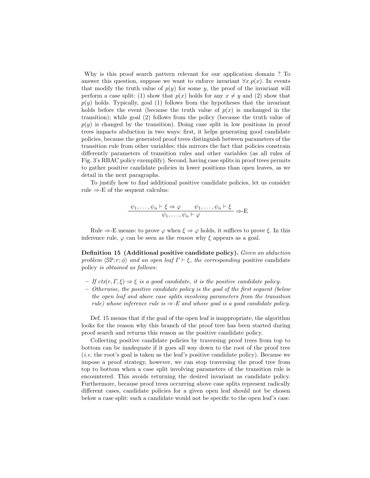Why is this proof search pattern relevant for our application domain ? To answer this question, suppose we want to enforce invariant  $\forall x. p(x)$ . In events that modify the truth value of  $p(y)$  for some y, the proof of the invariant will perform a case split: (1) show that  $p(x)$  holds for any  $x \neq y$  and (2) show that  $p(y)$  holds. Typically, goal (1) follows from the hypotheses that the invariant holds before the event (because the truth value of  $p(x)$  is unchanged in the transition); while goal (2) follows from the policy (because the truth value of  $p(y)$  is changed by the transition). Doing case split in low positions in proof trees impacts abduction in two ways: first, it helps generating good candidate policies, because the generated proof trees distinguish between parameters of the transition rule from other variables; this mirrors the fact that policies constrain differently parameters of transition rules and other variables (as all rules of Fig. 3's RBAC policy exemplify). Second, having case splits in proof trees permits to gather positive candidate policies in lower positions than open leaves, as we detail in the next paragraphs.

To justify how to find additional positive candidate policies, let us consider rule  $\Rightarrow$ -E of the sequent calculus:

$$
\frac{\psi_1,\ldots,\psi_n\vdash\xi\Rightarrow\varphi\qquad\psi_1,\ldots,\psi_n\vdash\xi}{\psi_1,\ldots,\psi_n\vdash\varphi}\Rightarrow\text{-E}
$$

Rule  $\Rightarrow$ -E means: to prove  $\varphi$  when  $\xi \Rightarrow \varphi$  holds, it suffices to prove  $\xi$ . In this inference rule,  $\varphi$  can be seen as the *reason* why  $\xi$  appears as a goal.

Definition 15 (Additional positive candidate policy). Given an abduction problem  $\langle \mathbb{S} \mathbb{P}; r; \phi \rangle$  and an open leaf  $\Gamma \vdash \xi$ , the corresponding positive candidate policy is obtained as follows:

- $-If \, \text{ctx}(r, \Gamma, \xi) \Rightarrow \xi \, \text{ is a good candidate, it is the positive candidate policy.}$
- Otherwise, the positive candidate policy is the goal of the first sequent (below the open leaf and above case splits involving parameters from the transition rule) whose inference rule is  $\Rightarrow$ -E and whose goal is a good candidate policy.

Def. 15 means that if the goal of the open leaf is inappropriate, the algorithm looks for the reason why this branch of the proof tree has been started during proof search and returns this reason as the positive candidate policy.

Collecting positive candidate policies by traversing proof trees from top to bottom can be inadequate if it goes all way down to the root of the proof tree  $(i.e.$  the root's goal is taken as the leaf's positive candidate policy). Because we impose a proof strategy, however, we can stop traversing the proof tree from top to bottom when a case split involving parameters of the transition rule is encountered. This avoids returning the desired invariant as candidate policy. Furthermore, because proof trees occurring above case splits represent radically different cases, candidate policies for a given open leaf should not be chosen below a case split: such a candidate would not be specific to the open leaf's case.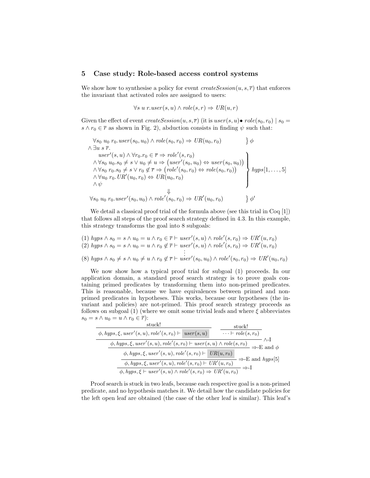#### 5 Case study: Role-based access control systems

We show how to synthesise a policy for event createSession $(u, s, \overline{r})$  that enforces the invariant that activated roles are assigned to users:

$$
\forall s \; u \; r. user(s, u) \land role(s, r) \Rightarrow \text{UR}(u, r)
$$

Given the effect of event createSession $(u, s, \overline{r})$  (it is user $(s, u) \bullet$  role $(s_0, r_0) \mid s_0 =$  $s \wedge r_0 \in \overline{r}$  as shown in Fig. 2), abduction consists in finding  $\psi$  such that:

$$
\forall s_0 \ u_0 \ r_0.user(s_0, u_0) \land role(s_0, r_0) \Rightarrow UR(u_0, r_0) \qquad \} \phi
$$
  
\n
$$
\land \exists u \ s \ \overline{r}.
$$
  
\n
$$
user'(s, u) \land \forall r_0.r_0 \in \overline{r} \Rightarrow role'(s, r_0)
$$
  
\n
$$
\land \forall s_0 \ u_0.s_0 \neq s \lor u_0 \neq u \Rightarrow (user'(s_0, u_0) \Leftrightarrow user(s_0, u_0))
$$
  
\n
$$
\land \forall s_0 \ r_0.s_0 \neq s \lor r_0 \notin \overline{r} \Rightarrow (role'(s_0, r_0) \Leftrightarrow role(s_0, r_0))
$$
  
\n
$$
\land \forall u_0 \ r_0.UR'(u_0, r_0) \Leftrightarrow UR(u_0, r_0)
$$
  
\n
$$
\land \psi
$$
  
\n
$$
\forall s_0 \ u_0 \ r_0.wser'(s_0, u_0) \land role'(s_0, r_0) \Rightarrow UR'(u_0, r_0) \qquad \} \phi'
$$

We detail a classical proof trial of the formula above (see this trial in Coq [1]) that follows all steps of the proof search strategy defined in 4.3. In this example, this strategy transforms the goal into 8 subgoals:

(1) 
$$
hyps \wedge s_0 = s \wedge u_0 = u \wedge r_0 \in \overline{r} \vdash user'(s, u) \wedge role'(s, r_0) \Rightarrow UR'(u, r_0)
$$
  
(2)  $hwp \wedge s_0 = s \wedge u_0 = u \wedge r_0 \notin \overline{r} \vdash user'(s, u) \wedge role'(s, r_0) \Rightarrow UR'(u, r_0)$ 

(2) hyps  $\land s_0 = s \land u_0 = u \land r_0 \notin \overline{r} \vdash user'(s, u) \land role'(s, r_0) \Rightarrow UR'(u, r_0)$ <br>
(8) hyps  $\land s_0 \neq s \land u_0 \neq u \land r_0 \notin \overline{r} \vdash user'(s_0, u_0) \land role'(s_0, r_0) \Rightarrow UR'(u_0, r_0)$ 

We now show how a typical proof trial for subgoal (1) proceeds. In our application domain, a standard proof search strategy is to prove goals containing primed predicates by transforming them into non-primed predicates. This is reasonable, because we have equivalences between primed and nonprimed predicates in hypotheses. This works, because our hypotheses (the invariant and policies) are not-primed. This proof search strategy proceeds as follows on subgoal (1) (where we omit some trivial leafs and where  $\xi$  abbreviates  $s_0 = s \wedge u_0 = u \wedge r_0 \in \overline{r}$ :

| stuck!                                                                                                                           | stuck!                                             |  |  |
|----------------------------------------------------------------------------------------------------------------------------------|----------------------------------------------------|--|--|
| $\phi, hypers, \xi, user'(s, u), role'(s,r_0) \vdash \vert user(s, u) \vert$                                                     | $\cdots \vdash$ $role(s,r_0)$                      |  |  |
| $\wedge$ -I<br>$\phi, hypers, \xi, user'(s, u), role'(s,r_0) \vdash user(s, u) \land role(s,r_0)$<br>$\Rightarrow$ -E and $\phi$ |                                                    |  |  |
| $\phi, hyps, \xi, user'(s, u), role'(s, r_0) \vdash \mid UR(u, r_0)$                                                             |                                                    |  |  |
| $\phi, hypers, \xi, user'(s, u), role'(s,r_0) \vdash \mathit{UR}'(u,r_0)$                                                        | $\Rightarrow$ -E and $hyps[5]$<br>$\Rightarrow$ -1 |  |  |
| $\phi, hyps, \xi \vdash user'(s, u) \land role'(s, r_0) \Rightarrow UR'(u, r_0)$                                                 |                                                    |  |  |

Proof search is stuck in two leafs, because each respective goal is a non-primed predicate, and no hypothesis matches it. We detail how the candidate policies for the left open leaf are obtained (the case of the other leaf is similar). This leaf's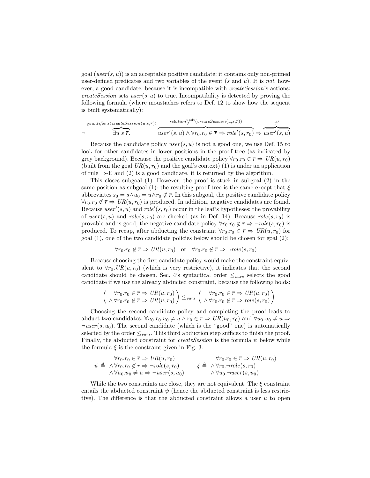goal  $(user(s, u))$  is an acceptable positive candidate: it contains only non-primed user-defined predicates and two variables of the event  $(s \text{ and } u)$ . It is not, however, a good candidate, because it is incompatible with *createSession*'s actions: createSession sets user(s, u) to true. Incompatibility is detected by proving the following formula (where moustaches refers to Def. 12 to show how the sequent is built systematically):

$$
\neg \overbrace{\exists u \ s \ \overline{r}}^{quantifiers(createSession(u,s,\overline{r}))} \overbrace{user'(s,u) \land \forall r_0.r_0 \in \overline{r} \Rightarrow role'(s,r_0) \Rightarrow user'(s,u)}
$$

Because the candidate policy  $user(s, u)$  is not a good one, we use Def. 15 to look for other candidates in lower positions in the proof tree (as indicated by grey background). Because the positive candidate policy  $\forall r_0. r_0 \in \overline{r} \Rightarrow \text{UR}(u, r_0)$ (built from the goal  $UR(u, r_0)$  and the goal's context) (1) is under an application of rule  $\Rightarrow$ -E and (2) is a good candidate, it is returned by the algorithm.

This closes subgoal (1). However, the proof is stuck in subgoal (2) in the same position as subgoal (1): the resulting proof tree is the same except that  $\xi$ abbreviates  $s_0 = s \wedge u_0 = u \wedge r_0 \notin \overline{r}$ . In this subgoal, the positive candidate policy  $\forall r_0.r_0 \notin \overline{r} \Rightarrow \text{UR}(u, r_0)$  is produced. In addition, negative candidates are found. Because  $user'(s, u)$  and  $role'(s, r_0)$  occur in the leaf's hypotheses; the provability of user(s, u) and role(s, r<sub>0</sub>) are checked (as in Def. 14). Because role(s, r<sub>0</sub>) is provable and is good, the negative candidate policy  $\forall r_0.r_0 \notin \overline{r} \Rightarrow \neg role(s, r_0)$  is produced. To recap, after abducting the constraint  $\forall r_0.r_0 \in \overline{r} \Rightarrow \text{UR}(u, r_0)$  for goal (1), one of the two candidate policies below should be chosen for goal (2):

$$
\forall r_0.r_0 \notin \overline{r} \Rightarrow \text{UR}(u, r_0) \quad \text{or} \quad \forall r_0.r_0 \notin \overline{r} \Rightarrow \neg \text{role}(s, r_0)
$$

Because choosing the first candidate policy would make the constraint equivalent to  $\forall r_0 \, \text{UR}(u, r_0)$  (which is very restrictive), it indicates that the second candidate should be chosen. Sec. 4's syntactical order  $\leq_{vars}$  selects the good candidate if we use the already abducted constraint, because the following holds:

$$
\begin{pmatrix}\n\forall r_0.r_0 \in \overline{r} \Rightarrow \text{UR}(u, r_0) \\
\wedge \forall r_0.r_0 \notin \overline{r} \Rightarrow \text{UR}(u, r_0)\n\end{pmatrix} \leq_{vars} \begin{pmatrix}\n\forall r_0.r_0 \in \overline{r} \Rightarrow \text{UR}(u, r_0) \\
\wedge \forall r_0.r_0 \notin \overline{r} \Rightarrow \text{role}(s, r_0)\n\end{pmatrix}
$$

Choosing the second candidate policy and completing the proof leads to abduct two candidates:  $\forall u_0 \ r_0.u_0 \neq u \land r_0 \in \overline{r} \Rightarrow \text{UR}(u_0, r_0)$  and  $\forall u_0.u_0 \neq u \Rightarrow$  $\neg user(s, u_0)$ . The second candidate (which is the "good" one) is automatically selected by the order  $\leq_{vars}$ . This third abduction step suffices to finish the proof. Finally, the abducted constraint for *createSession* is the formula  $\psi$  below while the formula  $\xi$  is the constraint given in Fig. 3:

$$
\forall r_0. r_0 \in \overline{r} \Rightarrow \text{UR}(u, r_0) \qquad \forall r_0. r_0 \in \overline{r} \Rightarrow \text{UR}(u, r_0) \n\land \forall r_0. r_0 \notin \overline{r} \Rightarrow \neg \text{role}(s, r_0) \qquad \xi \triangleq \land \forall r_0. \neg \text{role}(s, r_0) \n\land \forall u_0. u_0 \neq u \Rightarrow \neg \text{user}(s, u_0) \qquad \land \forall u_0. \neg \text{user}(s, u_0)
$$

While the two constraints are close, they are not equivalent. The  $\xi$  constraint entails the abducted constraint  $\psi$  (hence the abducted constraint is less restrictive). The difference is that the abducted constraint allows a user  $u$  to open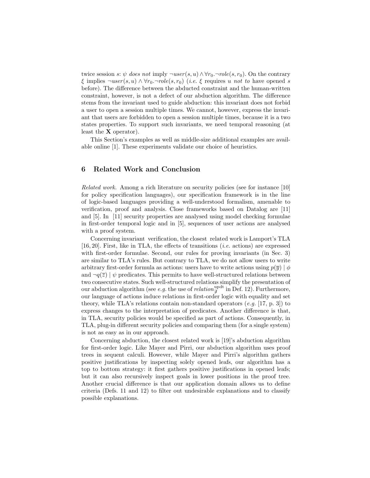twice session s:  $\psi$  does not imply  $\neg$ user $(s, u) \wedge \forall r_0.\neg$ role $(s, r_0)$ . On the contrary  $\xi$  implies  $\neg user(s, u) \wedge \forall r_0.\neg role(s, r_0)$  (*i.e.*  $\xi$  requires u not to have opened s before). The difference between the abducted constraint and the human-written constraint, however, is not a defect of our abduction algorithm. The difference stems from the invariant used to guide abduction: this invariant does not forbid a user to open a session multiple times. We cannot, however, express the invariant that users are forbidden to open a session multiple times, because it is a two states properties. To support such invariants, we need temporal reasoning (at least the X operator).

This Section's examples as well as middle-size additional examples are available online [1]. These experiments validate our choice of heuristics.

#### 6 Related Work and Conclusion

Related work. Among a rich literature on security policies (see for instance [10] for policy specification languages), our specification framework is in the line of logic-based languages providing a well-understood formalism, amenable to verification, proof and analysis. Close frameworks based on Datalog are [11] and [5]. In [11] security properties are analysed using model checking formulae in first-order temporal logic and in [5], sequences of user actions are analysed with a proof system.

Concerning invariant verification, the closest related work is Lamport's TLA [16, 20]. First, like in TLA, the effects of transitions (*i.e.* actions) are expressed with first-order formulae. Second, our rules for proving invariants (in Sec. 3) are similar to TLA's rules. But contrary to TLA, we do not allow users to write arbitrary first-order formula as actions: users have to write actions using  $p(\overline{y}) | \phi$ and  $\neg q(\overline{z}) | \psi$  predicates. This permits to have well-structured relations between two consecutive states. Such well-structured relations simplify the presentation of our abduction algorithm (see *e.g.* the use of *relation*<sup>updt</sup> in Def. 12). Furthermore, our language of actions induce relations in first-order logic with equality and set theory, while TLA's relations contain non-standard operators  $(e,q,[17, p. 3])$  to express changes to the interpretation of predicates. Another difference is that, in TLA, security policies would be specified as part of actions. Consequently, in TLA, plug-in different security policies and comparing them (for a single system) is not as easy as in our approach.

Concerning abduction, the closest related work is [19]'s abduction algorithm for first-order logic. Like Mayer and Pirri, our abduction algorithm uses proof trees in sequent calculi. However, while Mayer and Pirri's algorithm gathers positive justifications by inspecting solely opened leafs, our algorithm has a top to bottom strategy: it first gathers positive justifications in opened leafs; but it can also recursively inspect goals in lower positions in the proof tree. Another crucial difference is that our application domain allows us to define criteria (Defs. 11 and 12) to filter out undesirable explanations and to classify possible explanations.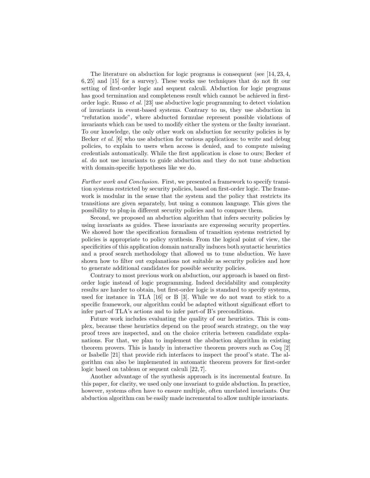The literature on abduction for logic programs is consequent (see  $[14, 23, 4,$ 6, 25] and [15] for a survey). These works use techniques that do not fit our setting of first-order logic and sequent calculi. Abduction for logic programs has good termination and completeness result which cannot be achieved in firstorder logic. Russo et al. [23] use abductive logic programming to detect violation of invariants in event-based systems. Contrary to us, they use abduction in "refutation mode", where abducted formulae represent possible violations of invariants which can be used to modify either the system or the faulty invariant. To our knowledge, the only other work on abduction for security policies is by Becker *et al.* [6] who use abduction for various applications: to write and debug policies, to explain to users when access is denied, and to compute missing credentials automatically. While the first application is close to ours; Becker et al. do not use invariants to guide abduction and they do not tune abduction with domain-specific hypotheses like we do.

Further work and Conclusion. First, we presented a framework to specify transition systems restricted by security policies, based on first-order logic. The framework is modular in the sense that the system and the policy that restricts its transitions are given separately, but using a common language. This gives the possibility to plug-in different security policies and to compare them.

Second, we proposed an abduction algorithm that infers security policies by using invariants as guides. These invariants are expressing security properties. We showed how the specification formalism of transition systems restricted by policies is appropriate to policy synthesis. From the logical point of view, the specificities of this application domain naturally induces both syntactic heuristics and a proof search methodology that allowed us to tune abduction. We have shown how to filter out explanations not suitable as security policies and how to generate additional candidates for possible security policies.

Contrary to most previous work on abduction, our approach is based on firstorder logic instead of logic programming. Indeed decidability and complexity results are harder to obtain, but first-order logic is standard to specify systems, used for instance in TLA [16] or B [3]. While we do not want to stick to a specific framework, our algorithm could be adapted without significant effort to infer part-of TLA's actions and to infer part-of B's preconditions.

Future work includes evaluating the quality of our heuristics. This is complex, because these heuristics depend on the proof search strategy, on the way proof trees are inspected, and on the choice criteria between candidate explanations. For that, we plan to implement the abduction algorithm in existing theorem provers. This is handy in interactive theorem provers such as Coq [2] or Isabelle [21] that provide rich interfaces to inspect the proof's state. The algorithm can also be implemented in automatic theorem provers for first-order logic based on tableau or sequent calculi [22, 7].

Another advantage of the synthesis approach is its incremental feature. In this paper, for clarity, we used only one invariant to guide abduction. In practice, however, systems often have to ensure multiple, often unrelated invariants. Our abduction algorithm can be easily made incremental to allow multiple invariants.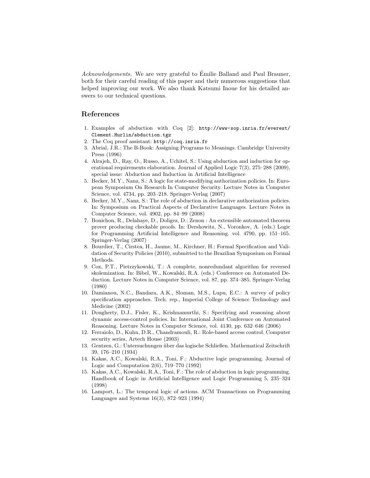Acknowledgements. We are very grateful to Émilie Balland and Paul Brauner, both for their careful reading of this paper and their numerous suggestions that helped improving our work. We also thank Katsumi Inoue for his detailed answers to our technical questions.

#### References

- 1. Examples of abduction with Coq [2]: http://www-sop.inria.fr/everest/ Clement.Hurlin/abduction.tgz
- 2. The Coq proof assistant: http://coq.inria.fr
- 3. Abrial, J.R.: The B-Book: Assigning Programs to Meanings. Cambridge University Press (1996)
- 4. Alrajeh, D., Ray, O., Russo, A., Uchitel, S.: Using abduction and induction for operational requirements elaboration. Journal of Applied Logic 7(3), 275–288 (2009), special issue: Abduction and Induction in Artificial Intelligence
- 5. Becker, M.Y., Nanz, S.: A logic for state-modifying authorization policies. In: European Symposium On Research In Computer Security. Lecture Notes in Computer Science, vol. 4734, pp. 203–218. Springer-Verlag (2007)
- 6. Becker, M.Y., Nanz, S.: The role of abduction in declarative authorization policies. In: Symposium on Practical Aspects of Declarative Languages. Lecture Notes in Computer Science, vol. 4902, pp. 84–99 (2008)
- 7. Bonichon, R., Delahaye, D., Doligez, D.: Zenon : An extensible automated theorem prover producing checkable proofs. In: Dershowitz, N., Voronkov, A. (eds.) Logic for Programming Artificial Intelligence and Reasoning. vol. 4790, pp. 151–165. Springer-Verlag (2007)
- 8. Bourdier, T., Cirstea, H., Jaume, M., Kirchner, H.: Formal Specification and Validation of Security Policies (2010), submitted to the Brazilian Symposium on Formal Methods.
- 9. Cox, P.T., Pietrzykowski, T.: A complete, nonredundant algorithm for reversed skolemization. In: Bibel, W., Kowalski, R.A. (eds.) Conference on Automated Deduction. Lecture Notes in Computer Science, vol. 87, pp. 374–385. Springer-Verlag (1980)
- 10. Damianou, N.C., Bandara, A.K., Sloman, M.S., Lupu, E.C.: A survey of policy specification approaches. Tech. rep., Imperial College of Science Technology and Medicine (2002)
- 11. Dougherty, D.J., Fisler, K., Krishnamurthi, S.: Specifying and reasoning about dynamic access-control policies. In: International Joint Conference on Automated Reasoning. Lecture Notes in Computer Science, vol. 4130, pp. 632–646 (2006)
- 12. Ferraiolo, D., Kuhn, D.R., Chandramouli, R.: Role-based access control. Computer security series, Artech House (2003)
- 13. Gentzen, G.: Untersuchungen über das logische Schließen. Mathematical Zeitschrift 39, 176–210 (1934)
- 14. Kakas, A.C., Kowalski, R.A., Toni, F.: Abductive logic programming. Journal of Logic and Computation 2(6), 719–770 (1992)
- 15. Kakas, A.C., Kowalski, R.A., Toni, F.: The role of abduction in logic programming. Handbook of Logic in Artificial Intelligence and Logic Programming 5, 235–324 (1998)
- 16. Lamport, L.: The temporal logic of actions. ACM Transactions on Programming Languages and Systems 16(3), 872–923 (1994)